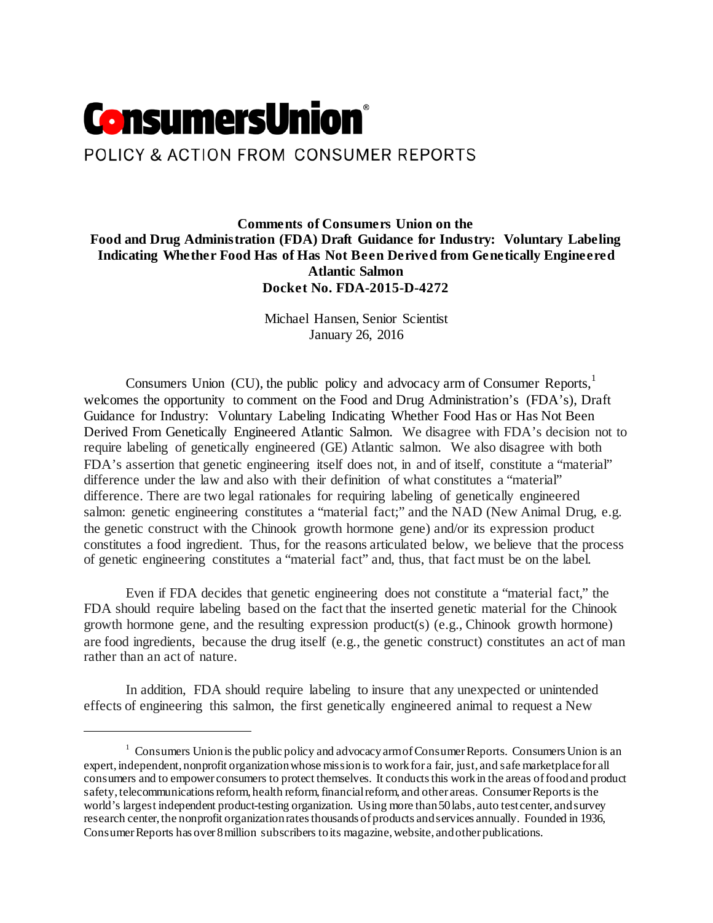# **ConsumersUnion**® POLICY & ACTION FROM CONSUMER REPORTS

**Comments of Consumers Union on the Food and Drug Administration (FDA) Draft Guidance for Industry: Voluntary Labeling Indicating Whether Food Has of Has Not Been Derived from Genetically Engineered Atlantic Salmon Docket No. FDA-2015-D-4272**

> Michael Hansen, Senior Scientist January 26, 2016

Consumers Union (CU), the public policy and advocacy arm of Consumer Reports,<sup>[1](#page-0-0)</sup> welcomes the opportunity to comment on the Food and Drug Administration's (FDA's), Draft Guidance for Industry: Voluntary Labeling Indicating Whether Food Has or Has Not Been Derived From Genetically Engineered Atlantic Salmon. We disagree with FDA's decision not to require labeling of genetically engineered (GE) Atlantic salmon. We also disagree with both FDA's assertion that genetic engineering itself does not, in and of itself, constitute a "material" difference under the law and also with their definition of what constitutes a "material" difference. There are two legal rationales for requiring labeling of genetically engineered salmon: genetic engineering constitutes a "material fact;" and the NAD (New Animal Drug, e.g. the genetic construct with the Chinook growth hormone gene) and/or its expression product constitutes a food ingredient. Thus, for the reasons articulated below, we believe that the process of genetic engineering constitutes a "material fact" and, thus, that fact must be on the label.

Even if FDA decides that genetic engineering does not constitute a "material fact," the FDA should require labeling based on the fact that the inserted genetic material for the Chinook growth hormone gene, and the resulting expression product(s) (e.g., Chinook growth hormone) are food ingredients, because the drug itself (e.g., the genetic construct) constitutes an act of man rather than an act of nature.

In addition, FDA should require labeling to insure that any unexpected or unintended effects of engineering this salmon, the first genetically engineered animal to request a New

 $\overline{a}$ 

<span id="page-0-0"></span> $1 \text{ Consumes Union is the public policy and advocacy arm of Consumer Reports. Consumers Union is an}$ expert, independent, nonprofit organization whose mission is to work for a fair, just, and safe marketplace for all consumers and to empower consumers to protect themselves. It conducts this work in the areas of food and product safety, telecommunications reform, health reform, financial reform, and other areas. Consumer Reportsis the world's largest independent product-testing organization. Using more than 50 labs, auto test center, and survey research center, the nonprofit organization rates thousands of products and services annually. Founded in 1936, Consumer Reports has over 8 million subscribers to its magazine, website, and other publications.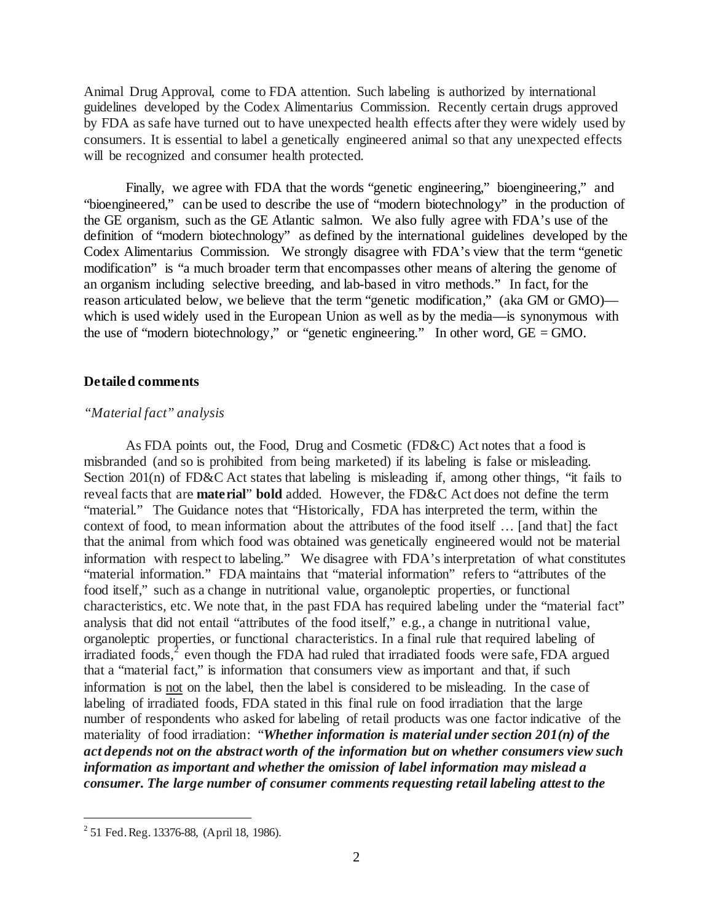Animal Drug Approval, come to FDA attention. Such labeling is authorized by international guidelines developed by the Codex Alimentarius Commission. Recently certain drugs approved by FDA as safe have turned out to have unexpected health effects after they were widely used by consumers. It is essential to label a genetically engineered animal so that any unexpected effects will be recognized and consumer health protected.

Finally, we agree with FDA that the words "genetic engineering," bioengineering," and "bioengineered," can be used to describe the use of "modern biotechnology" in the production of the GE organism, such as the GE Atlantic salmon. We also fully agree with FDA's use of the definition of "modern biotechnology" as defined by the international guidelines developed by the Codex Alimentarius Commission. We strongly disagree with FDA's view that the term "genetic modification" is "a much broader term that encompasses other means of altering the genome of an organism including selective breeding, and lab-based in vitro methods." In fact, for the reason articulated below, we believe that the term "genetic modification," (aka GM or GMO) which is used widely used in the European Union as well as by the media—is synonymous with the use of "modern biotechnology," or "genetic engineering." In other word,  $GE = GMO$ .

### **Detailed comments**

# *"Material fact" analysis*

As FDA points out, the Food, Drug and Cosmetic (FD&C) Act notes that a food is misbranded (and so is prohibited from being marketed) if its labeling is false or misleading. Section 201(n) of FD&C Act states that labeling is misleading if, among other things, "it fails to reveal facts that are **material**" **bold** added. However, the FD&C Act does not define the term "material." The Guidance notes that "Historically, FDA has interpreted the term, within the context of food, to mean information about the attributes of the food itself … [and that] the fact that the animal from which food was obtained was genetically engineered would not be material information with respect to labeling." We disagree with FDA's interpretation of what constitutes "material information." FDA maintains that "material information" refers to "attributes of the food itself," such as a change in nutritional value, organoleptic properties, or functional characteristics, etc. We note that, in the past FDA has required labeling under the "material fact" analysis that did not entail "attributes of the food itself," e.g., a change in nutritional value, organoleptic properties, or functional characteristics. In a final rule that required labeling of irradiated foods, $^2$  $^2$  even though the FDA had ruled that irradiated foods were safe, FDA argued that a "material fact," is information that consumers view as important and that, if such information is not on the label, then the label is considered to be misleading. In the case of labeling of irradiated foods, FDA stated in this final rule on food irradiation that the large number of respondents who asked for labeling of retail products was one factor indicative of the materiality of food irradiation: "*Whether information is material under section 201(n) of the act depends not on the abstract worth of the information but on whether consumers view such information as important and whether the omission of label information may mislead a consumer. The large number of consumer comments requesting retail labeling attest to the* 

l

<span id="page-1-0"></span> $2$  51 Fed. Reg. 13376-88, (April 18, 1986).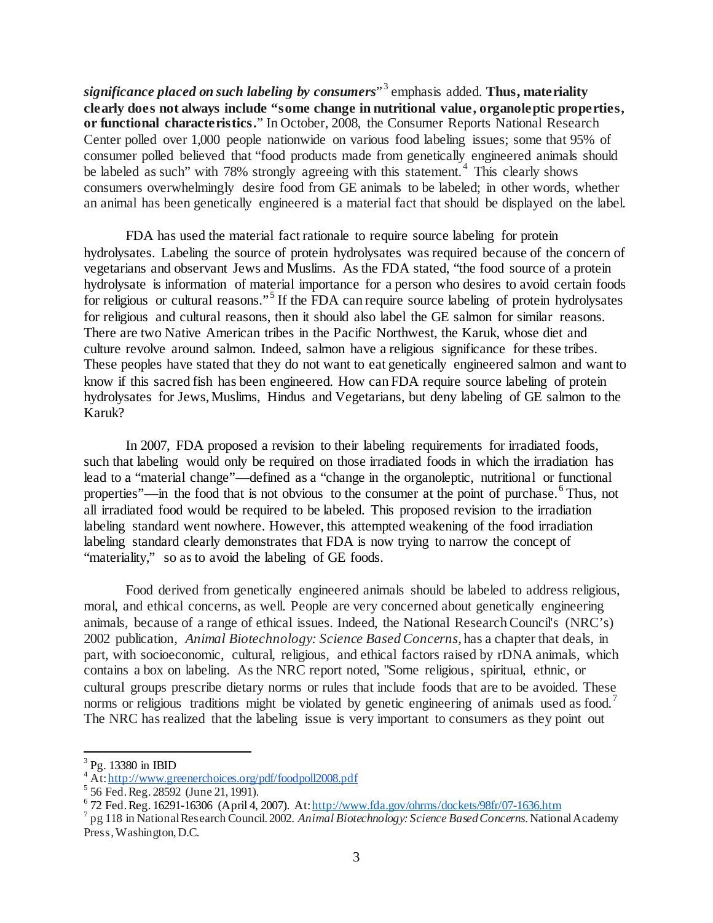*significance placed on such labeling by consumers*" [3](#page-2-0) emphasis added. **Thus, materiality clearly does not always include "some change in nutritional value, organoleptic properties, or functional characteristics.**" In October, 2008, the Consumer Reports National Research Center polled over 1,000 people nationwide on various food labeling issues; some that 95% of consumer polled believed that "food products made from genetically engineered animals should be labeled as such" with 78% strongly agreeing with this statement.<sup>[4](#page-2-1)</sup> This clearly shows consumers overwhelmingly desire food from GE animals to be labeled; in other words, whether an animal has been genetically engineered is a material fact that should be displayed on the label.

FDA has used the material fact rationale to require source labeling for protein hydrolysates. Labeling the source of protein hydrolysates was required because of the concern of vegetarians and observant Jews and Muslims. As the FDA stated, "the food source of a protein hydrolysate is information of material importance for a person who desires to avoid certain foods for religious or cultural reasons."<sup>[5](#page-2-2)</sup> If the FDA can require source labeling of protein hydrolysates for religious and cultural reasons, then it should also label the GE salmon for similar reasons. There are two Native American tribes in the Pacific Northwest, the Karuk, whose diet and culture revolve around salmon. Indeed, salmon have a religious significance for these tribes. These peoples have stated that they do not want to eat genetically engineered salmon and want to know if this sacred fish has been engineered. How can FDA require source labeling of protein hydrolysates for Jews, Muslims, Hindus and Vegetarians, but deny labeling of GE salmon to the Karuk?

In 2007, FDA proposed a revision to their labeling requirements for irradiated foods, such that labeling would only be required on those irradiated foods in which the irradiation has lead to a "material change"—defined as a "change in the organoleptic, nutritional or functional properties"—in the food that is not obvious to the consumer at the point of purchase.<sup>[6](#page-2-3)</sup> Thus, not all irradiated food would be required to be labeled. This proposed revision to the irradiation labeling standard went nowhere. However, this attempted weakening of the food irradiation labeling standard clearly demonstrates that FDA is now trying to narrow the concept of "materiality," so as to avoid the labeling of GE foods.

Food derived from genetically engineered animals should be labeled to address religious, moral, and ethical concerns, as well. People are very concerned about genetically engineering animals, because of a range of ethical issues. Indeed, the National Research Council's (NRC's) 2002 publication, *Animal Biotechnology: Science Based Concerns*, has a chapter that deals, in part, with socioeconomic, cultural, religious, and ethical factors raised by rDNA animals, which contains a box on labeling. As the NRC report noted, "Some religious, spiritual, ethnic, or cultural groups prescribe dietary norms or rules that include foods that are to be avoided. These norms or religious traditions might be violated by genetic engineering of animals used as food.<sup>[7](#page-2-4)</sup> The NRC has realized that the labeling issue is very important to consumers as they point out

 $\overline{a}$ 

<span id="page-2-0"></span> $3$  Pg. 13380 in IBID

<span id="page-2-2"></span>

<span id="page-2-1"></span><sup>&</sup>lt;sup>4</sup> At: http://www.greenerchoices.org/pdf/foodpoll2008.pdf<br>
<sup>5</sup> 56 Fed. Reg. 28592 (June 21, 1991).<br>
<sup>6</sup> 72 Fed. Reg. 16291-16306 (April 4, 2007). At: http://www.fda.gov/ohrms/dockets/98fr/07-1636.htm

<span id="page-2-4"></span><span id="page-2-3"></span><sup>&</sup>lt;sup>7</sup> pg 118 in National Research Council. 2002. *Animal Biotechnology: Science Based Concerns*. National Academy Press, Washington, D.C.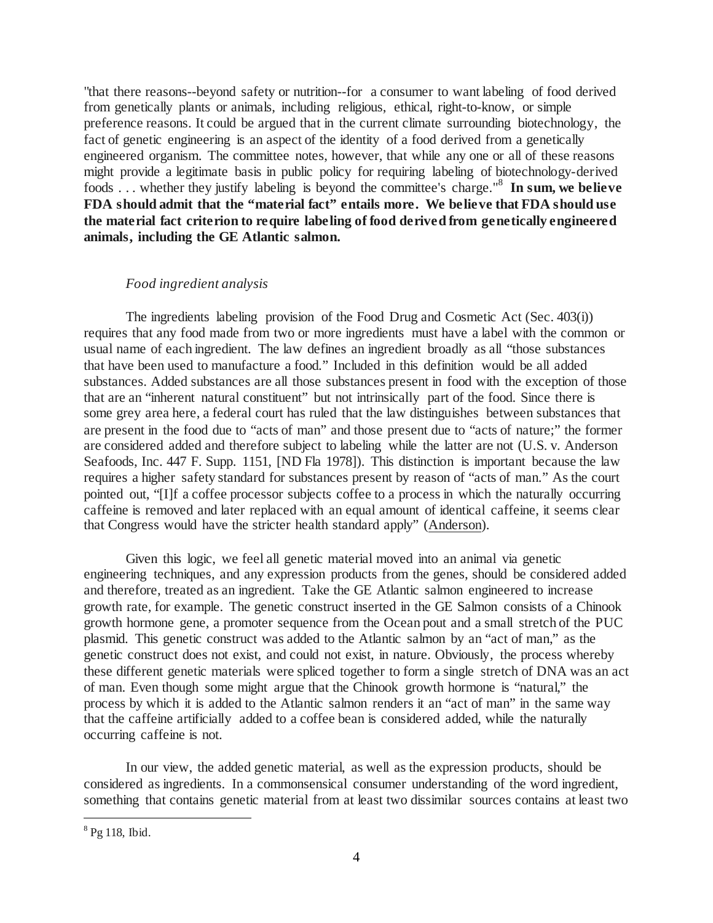"that there reasons--beyond safety or nutrition--for a consumer to want labeling of food derived from genetically plants or animals, including religious, ethical, right-to-know, or simple preference reasons. It could be argued that in the current climate surrounding biotechnology, the fact of genetic engineering is an aspect of the identity of a food derived from a genetically engineered organism. The committee notes, however, that while any one or all of these reasons might provide a legitimate basis in public policy for requiring labeling of biotechnology-derived foods . . . whether they justify labeling is beyond the committee's charge.["8](#page-3-0) **In sum, we believe FDA should admit that the "material fact" entails more. We believe that FDA should use the material fact criterion to require labeling of food derived from genetically engineered animals, including the GE Atlantic salmon.**

# *Food ingredient analysis*

The ingredients labeling provision of the Food Drug and Cosmetic Act (Sec. 403(i)) requires that any food made from two or more ingredients must have a label with the common or usual name of each ingredient. The law defines an ingredient broadly as all "those substances that have been used to manufacture a food." Included in this definition would be all added substances. Added substances are all those substances present in food with the exception of those that are an "inherent natural constituent" but not intrinsically part of the food. Since there is some grey area here, a federal court has ruled that the law distinguishes between substances that are present in the food due to "acts of man" and those present due to "acts of nature;" the former are considered added and therefore subject to labeling while the latter are not (U.S. v. Anderson Seafoods, Inc. 447 F. Supp. 1151, [ND Fla 1978]). This distinction is important because the law requires a higher safety standard for substances present by reason of "acts of man." As the court pointed out, "[I]f a coffee processor subjects coffee to a process in which the naturally occurring caffeine is removed and later replaced with an equal amount of identical caffeine, it seems clear that Congress would have the stricter health standard apply" (Anderson).

Given this logic, we feel all genetic material moved into an animal via genetic engineering techniques, and any expression products from the genes, should be considered added and therefore, treated as an ingredient. Take the GE Atlantic salmon engineered to increase growth rate, for example. The genetic construct inserted in the GE Salmon consists of a Chinook growth hormone gene, a promoter sequence from the Ocean pout and a small stretch of the PUC plasmid. This genetic construct was added to the Atlantic salmon by an "act of man," as the genetic construct does not exist, and could not exist, in nature. Obviously, the process whereby these different genetic materials were spliced together to form a single stretch of DNA was an act of man. Even though some might argue that the Chinook growth hormone is "natural," the process by which it is added to the Atlantic salmon renders it an "act of man" in the same way that the caffeine artificially added to a coffee bean is considered added, while the naturally occurring caffeine is not.

In our view, the added genetic material, as well as the expression products, should be considered as ingredients. In a commonsensical consumer understanding of the word ingredient, something that contains genetic material from at least two dissimilar sources contains at least two

l

<span id="page-3-0"></span><sup>8</sup> Pg 118, Ibid.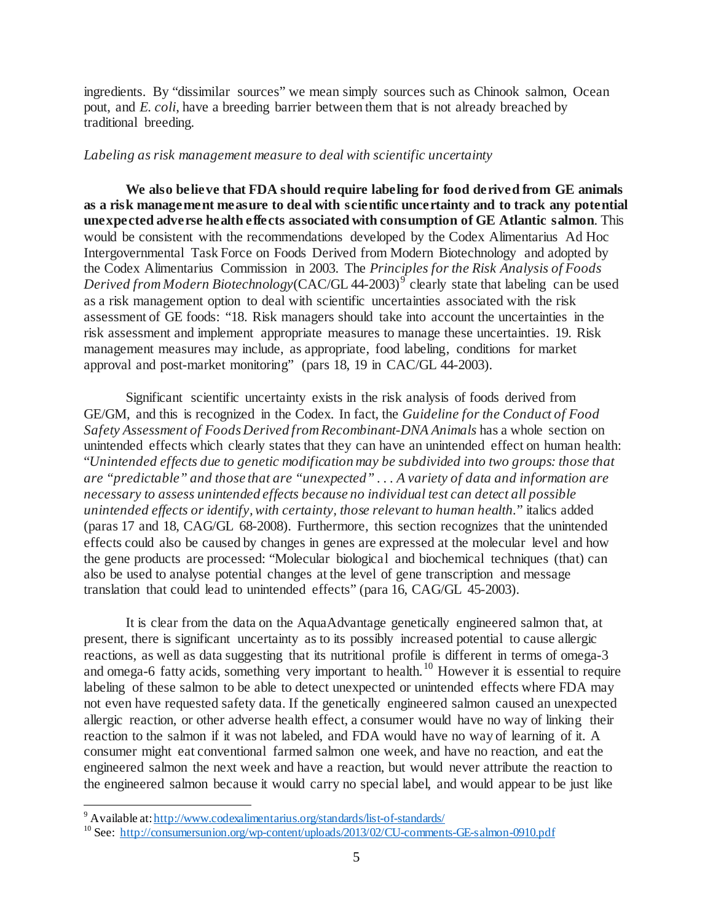ingredients. By "dissimilar sources" we mean simply sources such as Chinook salmon, Ocean pout, and *E. coli*, have a breeding barrier between them that is not already breached by traditional breeding.

### *Labeling as risk management measure to deal with scientific uncertainty*

**We also believe that FDA should require labeling for food derived from GE animals as a risk management measure to deal with scientific uncertainty and to track any potential unexpected adverse health effects associated with consumption of GE Atlantic salmon**. This would be consistent with the recommendations developed by the Codex Alimentarius Ad Hoc Intergovernmental Task Force on Foods Derived from Modern Biotechnology and adopted by the Codex Alimentarius Commission in 2003. The *Principles for the Risk Analysis of Foods Derived from Modern Biotechnology*(CAC/GL 44-2003)<sup>[9](#page-4-0)</sup> clearly state that labeling can be used as a risk management option to deal with scientific uncertainties associated with the risk assessment of GE foods: "18. Risk managers should take into account the uncertainties in the risk assessment and implement appropriate measures to manage these uncertainties. 19. Risk management measures may include, as appropriate, food labeling, conditions for market approval and post-market monitoring" (pars 18, 19 in CAC/GL 44-2003).

Significant scientific uncertainty exists in the risk analysis of foods derived from GE/GM, and this is recognized in the Codex. In fact, the *Guideline for the Conduct of Food Safety Assessment of Foods Derived from Recombinant-DNA Animals* has a whole section on unintended effects which clearly states that they can have an unintended effect on human health: "*Unintended effects due to genetic modification may be subdivided into two groups: those that are "predictable" and those that are "unexpected" . . . A variety of data and information are necessary to assess unintended effects because no individual test can detect all possible unintended effects or identify, with certainty, those relevant to human health.*" italics added (paras 17 and 18, CAG/GL 68-2008). Furthermore, this section recognizes that the unintended effects could also be caused by changes in genes are expressed at the molecular level and how the gene products are processed: "Molecular biological and biochemical techniques (that) can also be used to analyse potential changes at the level of gene transcription and message translation that could lead to unintended effects" (para 16, CAG/GL 45-2003).

It is clear from the data on the AquaAdvantage genetically engineered salmon that, at present, there is significant uncertainty as to its possibly increased potential to cause allergic reactions, as well as data suggesting that its nutritional profile is different in terms of omega-3 and omega-6 fatty acids, something very important to health.<sup>[10](#page-4-1)</sup> However it is essential to require labeling of these salmon to be able to detect unexpected or unintended effects where FDA may not even have requested safety data. If the genetically engineered salmon caused an unexpected allergic reaction, or other adverse health effect, a consumer would have no way of linking their reaction to the salmon if it was not labeled, and FDA would have no way of learning of it. A consumer might eat conventional farmed salmon one week, and have no reaction, and eat the engineered salmon the next week and have a reaction, but would never attribute the reaction to the engineered salmon because it would carry no special label, and would appear to be just like

<span id="page-4-0"></span><sup>&</sup>lt;sup>9</sup> Available at: http://www.codexalimentarius.org/standards/list-of-standards/

<span id="page-4-1"></span><sup>10</sup> See:<http://consumersunion.org/wp-content/uploads/2013/02/CU-comments-GE-salmon-0910.pdf>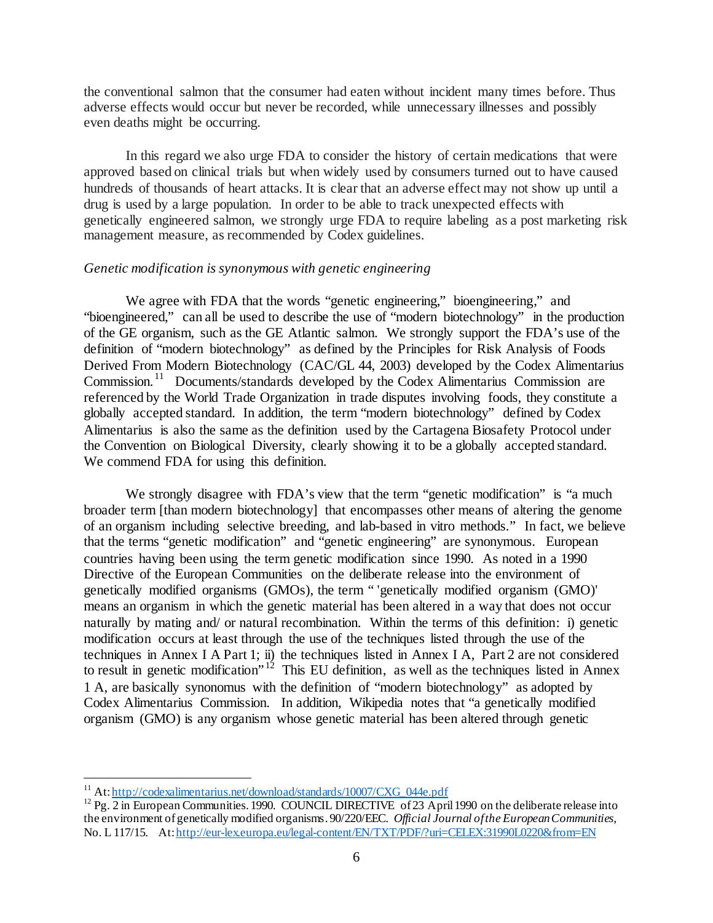the conventional salmon that the consumer had eaten without incident many times before. Thus adverse effects would occur but never be recorded, while unnecessary illnesses and possibly even deaths might be occurring.

In this regard we also urge FDA to consider the history of certain medications that were approved based on clinical trials but when widely used by consumers turned out to have caused hundreds of thousands of heart attacks. It is clear that an adverse effect may not show up until a drug is used by a large population. In order to be able to track unexpected effects with genetically engineered salmon, we strongly urge FDA to require labeling as a post marketing risk management measure, as recommended by Codex guidelines.

# *Genetic modification is synonymous with genetic engineering*

We agree with FDA that the words "genetic engineering," bioengineering," and "bioengineered," can all be used to describe the use of "modern biotechnology" in the production of the GE organism, such as the GE Atlantic salmon. We strongly support the FDA's use of the definition of "modern biotechnology" as defined by the Principles for Risk Analysis of Foods Derived From Modern Biotechnology (CAC/GL 44, 2003) developed by the Codex Alimentarius Commission.[11](#page-5-0) Documents/standards developed by the Codex Alimentarius Commission are referenced by the World Trade Organization in trade disputes involving foods, they constitute a globally accepted standard. In addition, the term "modern biotechnology" defined by Codex Alimentarius is also the same as the definition used by the Cartagena Biosafety Protocol under the Convention on Biological Diversity, clearly showing it to be a globally accepted standard. We commend FDA for using this definition.

We strongly disagree with FDA's view that the term "genetic modification" is "a much broader term [than modern biotechnology] that encompasses other means of altering the genome of an organism including selective breeding, and lab-based in vitro methods." In fact, we believe that the terms "genetic modification" and "genetic engineering" are synonymous. European countries having been using the term genetic modification since 1990. As noted in a 1990 Directive of the European Communities on the deliberate release into the environment of genetically modified organisms (GMOs), the term " 'genetically modified organism (GMO)' means an organism in which the genetic material has been altered in a way that does not occur naturally by mating and/ or natural recombination. Within the terms of this definition: i) genetic modification occurs at least through the use of the techniques listed through the use of the techniques in Annex I A Part 1; ii) the techniques listed in Annex I A, Part 2 are not considered to result in genetic modification<sup>", [12](#page-5-1)</sup> This EU definition, as well as the techniques listed in Annex 1 A, are basically synonomus with the definition of "modern biotechnology" as adopted by Codex Alimentarius Commission. In addition, Wikipedia notes that "a genetically modified organism (GMO) is any organism whose genetic material has been altered through genetic

<sup>&</sup>lt;sup>11</sup> At: http://codexalimentarius.net/download/standards/10007/CXG 044e.pdf

<span id="page-5-1"></span><span id="page-5-0"></span> $12$  Pg. 2 in European Communities. 1990. COUNCIL DIRECTIVE of 23 April 1990 on the deliberate release into the environment of genetically modified organisms. 90/220/EEC. *Official Journal of the European Communities*, No. L 117/15. At[: http://eur-lex.europa.eu/legal-content/EN/TXT/PDF/?uri=CELEX:31990L0220&from=EN](http://eur-lex.europa.eu/legal-content/EN/TXT/PDF/?uri=CELEX:31990L0220&from=EN)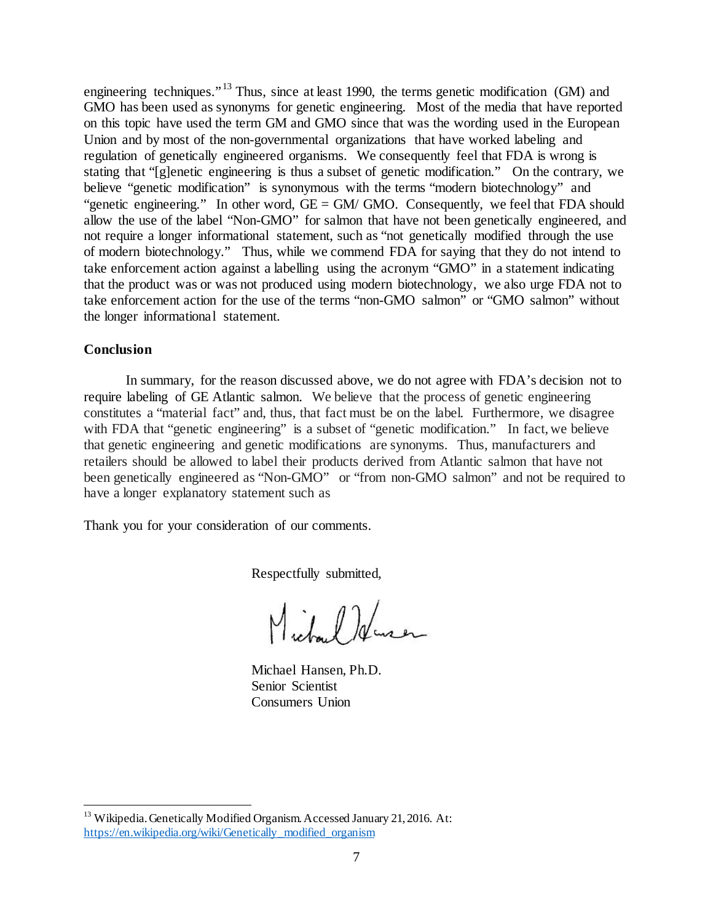engineering techniques."<sup>[13](#page-6-0)</sup> Thus, since at least 1990, the terms genetic modification (GM) and GMO has been used as synonyms for genetic engineering. Most of the media that have reported on this topic have used the term GM and GMO since that was the wording used in the European Union and by most of the non-governmental organizations that have worked labeling and regulation of genetically engineered organisms. We consequently feel that FDA is wrong is stating that "[g]enetic engineering is thus a subset of genetic modification." On the contrary, we believe "genetic modification" is synonymous with the terms "modern biotechnology" and "genetic engineering." In other word, GE = GM/ GMO. Consequently, we feel that FDA should allow the use of the label "Non-GMO" for salmon that have not been genetically engineered, and not require a longer informational statement, such as "not genetically modified through the use of modern biotechnology." Thus, while we commend FDA for saying that they do not intend to take enforcement action against a labelling using the acronym "GMO" in a statement indicating that the product was or was not produced using modern biotechnology, we also urge FDA not to take enforcement action for the use of the terms "non-GMO salmon" or "GMO salmon" without the longer informational statement.

# **Conclusion**

 $\overline{a}$ 

In summary, for the reason discussed above, we do not agree with FDA's decision not to require labeling of GE Atlantic salmon. We believe that the process of genetic engineering constitutes a "material fact" and, thus, that fact must be on the label. Furthermore, we disagree with FDA that "genetic engineering" is a subset of "genetic modification." In fact, we believe that genetic engineering and genetic modifications are synonyms. Thus, manufacturers and retailers should be allowed to label their products derived from Atlantic salmon that have not been genetically engineered as "Non-GMO" or "from non-GMO salmon" and not be required to have a longer explanatory statement such as

Thank you for your consideration of our comments.

Respectfully submitted,

Michael Huser

Michael Hansen, Ph.D. Senior Scientist Consumers Union

<span id="page-6-0"></span><sup>&</sup>lt;sup>13</sup> Wikipedia. Genetically Modified Organism. Accessed January 21, 2016. At: [https://en.wikipedia.org/wiki/Genetically\\_modified\\_organism](https://en.wikipedia.org/wiki/Genetically_modified_organism)